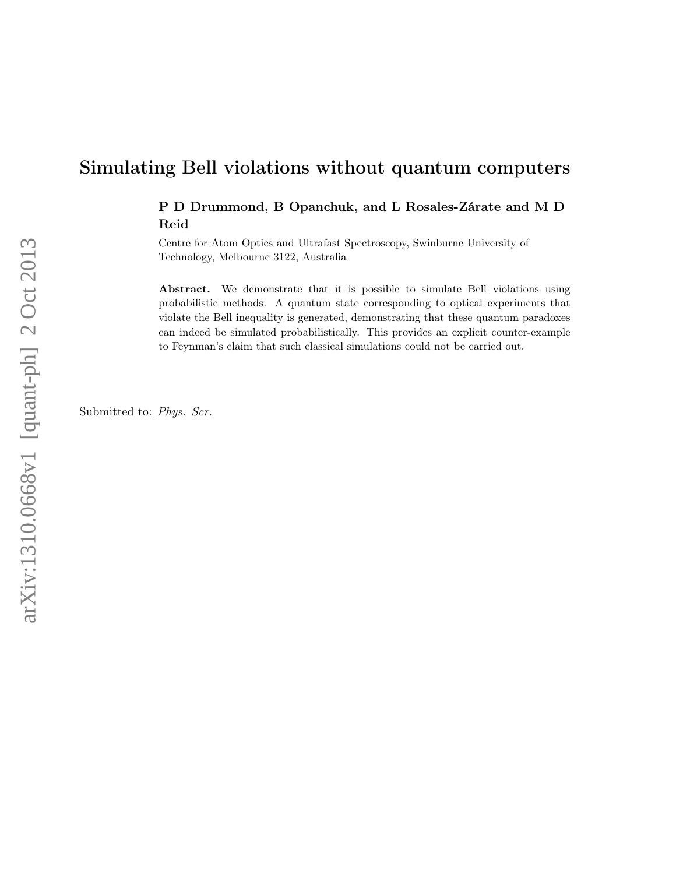# Simulating Bell violations without quantum computers

## P D Drummond, B Opanchuk, and L Rosales-Zárate and M D Reid

Centre for Atom Optics and Ultrafast Spectroscopy, Swinburne University of Technology, Melbourne 3122, Australia

Abstract. We demonstrate that it is possible to simulate Bell violations using probabilistic methods. A quantum state corresponding to optical experiments that violate the Bell inequality is generated, demonstrating that these quantum paradoxes can indeed be simulated probabilistically. This provides an explicit counter-example to Feynman's claim that such classical simulations could not be carried out.

Submitted to: Phys. Scr.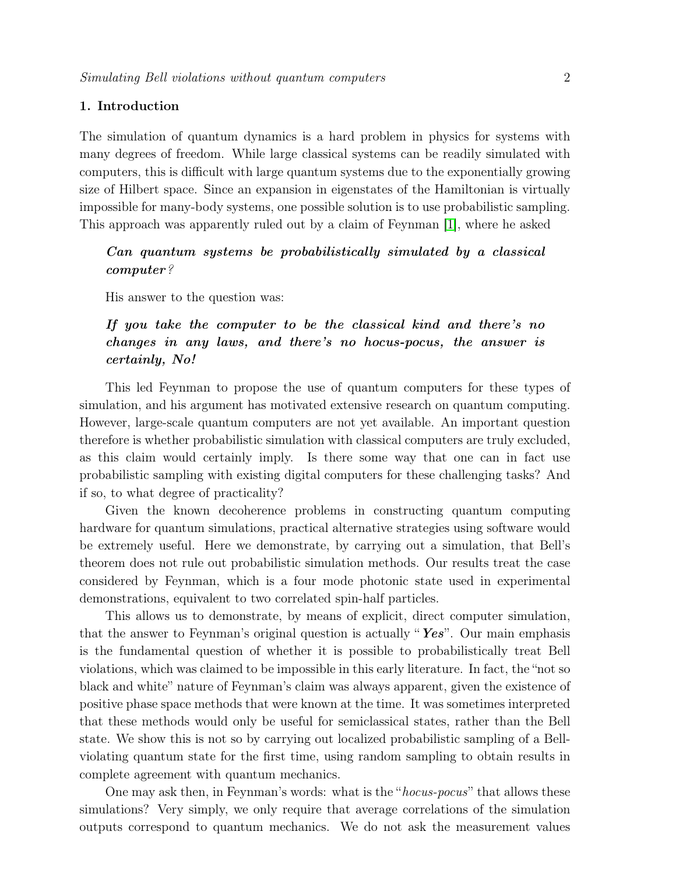### 1. Introduction

The simulation of quantum dynamics is a hard problem in physics for systems with many degrees of freedom. While large classical systems can be readily simulated with computers, this is difficult with large quantum systems due to the exponentially growing size of Hilbert space. Since an expansion in eigenstates of the Hamiltonian is virtually impossible for many-body systems, one possible solution is to use probabilistic sampling. This approach was apparently ruled out by a claim of Feynman [\[1\]](#page-6-0), where he asked

## Can quantum systems be probabilistically simulated by a classical computer?

His answer to the question was:

# If you take the computer to be the classical kind and there's no changes in any laws, and there's no hocus-pocus, the answer is certainly, No!

This led Feynman to propose the use of quantum computers for these types of simulation, and his argument has motivated extensive research on quantum computing. However, large-scale quantum computers are not yet available. An important question therefore is whether probabilistic simulation with classical computers are truly excluded, as this claim would certainly imply. Is there some way that one can in fact use probabilistic sampling with existing digital computers for these challenging tasks? And if so, to what degree of practicality?

Given the known decoherence problems in constructing quantum computing hardware for quantum simulations, practical alternative strategies using software would be extremely useful. Here we demonstrate, by carrying out a simulation, that Bell's theorem does not rule out probabilistic simulation methods. Our results treat the case considered by Feynman, which is a four mode photonic state used in experimental demonstrations, equivalent to two correlated spin-half particles.

This allows us to demonstrate, by means of explicit, direct computer simulation, that the answer to Feynman's original question is actually " $Yes$ ". Our main emphasis is the fundamental question of whether it is possible to probabilistically treat Bell violations, which was claimed to be impossible in this early literature. In fact, the "not so black and white" nature of Feynman's claim was always apparent, given the existence of positive phase space methods that were known at the time. It was sometimes interpreted that these methods would only be useful for semiclassical states, rather than the Bell state. We show this is not so by carrying out localized probabilistic sampling of a Bellviolating quantum state for the first time, using random sampling to obtain results in complete agreement with quantum mechanics.

One may ask then, in Feynman's words: what is the "hocus-pocus" that allows these simulations? Very simply, we only require that average correlations of the simulation outputs correspond to quantum mechanics. We do not ask the measurement values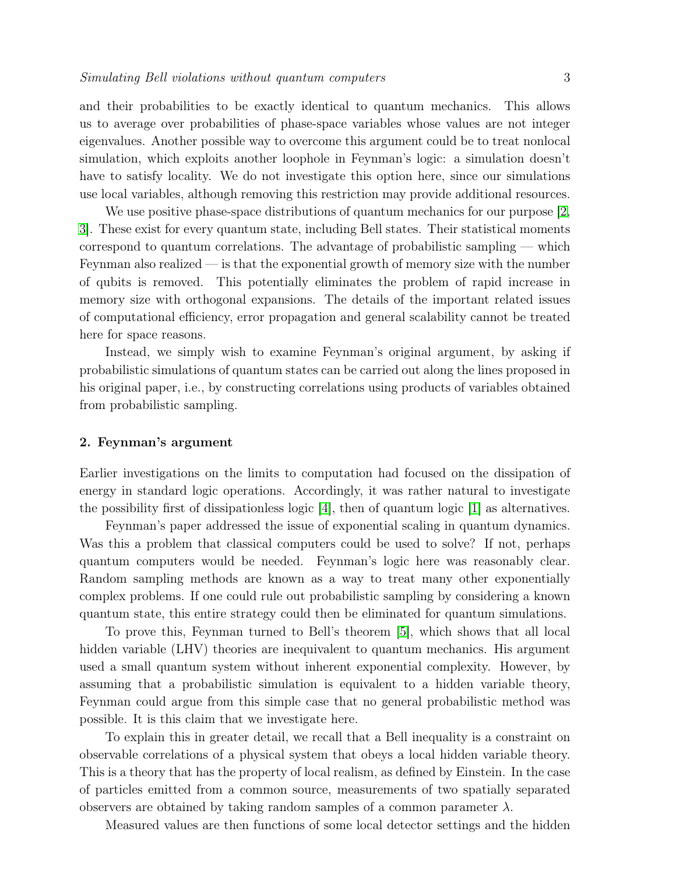and their probabilities to be exactly identical to quantum mechanics. This allows us to average over probabilities of phase-space variables whose values are not integer eigenvalues. Another possible way to overcome this argument could be to treat nonlocal simulation, which exploits another loophole in Feynman's logic: a simulation doesn't have to satisfy locality. We do not investigate this option here, since our simulations use local variables, although removing this restriction may provide additional resources.

We use positive phase-space distributions of quantum mechanics for our purpose  $\ket{2}$ , [3\]](#page-6-2). These exist for every quantum state, including Bell states. Their statistical moments correspond to quantum correlations. The advantage of probabilistic sampling — which Feynman also realized — is that the exponential growth of memory size with the number of qubits is removed. This potentially eliminates the problem of rapid increase in memory size with orthogonal expansions. The details of the important related issues of computational efficiency, error propagation and general scalability cannot be treated here for space reasons.

Instead, we simply wish to examine Feynman's original argument, by asking if probabilistic simulations of quantum states can be carried out along the lines proposed in his original paper, i.e., by constructing correlations using products of variables obtained from probabilistic sampling.

#### 2. Feynman's argument

Earlier investigations on the limits to computation had focused on the dissipation of energy in standard logic operations. Accordingly, it was rather natural to investigate the possibility first of dissipationless logic [\[4\]](#page-6-3), then of quantum logic [\[1\]](#page-6-0) as alternatives.

Feynman's paper addressed the issue of exponential scaling in quantum dynamics. Was this a problem that classical computers could be used to solve? If not, perhaps quantum computers would be needed. Feynman's logic here was reasonably clear. Random sampling methods are known as a way to treat many other exponentially complex problems. If one could rule out probabilistic sampling by considering a known quantum state, this entire strategy could then be eliminated for quantum simulations.

To prove this, Feynman turned to Bell's theorem [\[5\]](#page-6-4), which shows that all local hidden variable (LHV) theories are inequivalent to quantum mechanics. His argument used a small quantum system without inherent exponential complexity. However, by assuming that a probabilistic simulation is equivalent to a hidden variable theory, Feynman could argue from this simple case that no general probabilistic method was possible. It is this claim that we investigate here.

To explain this in greater detail, we recall that a Bell inequality is a constraint on observable correlations of a physical system that obeys a local hidden variable theory. This is a theory that has the property of local realism, as defined by Einstein. In the case of particles emitted from a common source, measurements of two spatially separated observers are obtained by taking random samples of a common parameter  $\lambda$ .

Measured values are then functions of some local detector settings and the hidden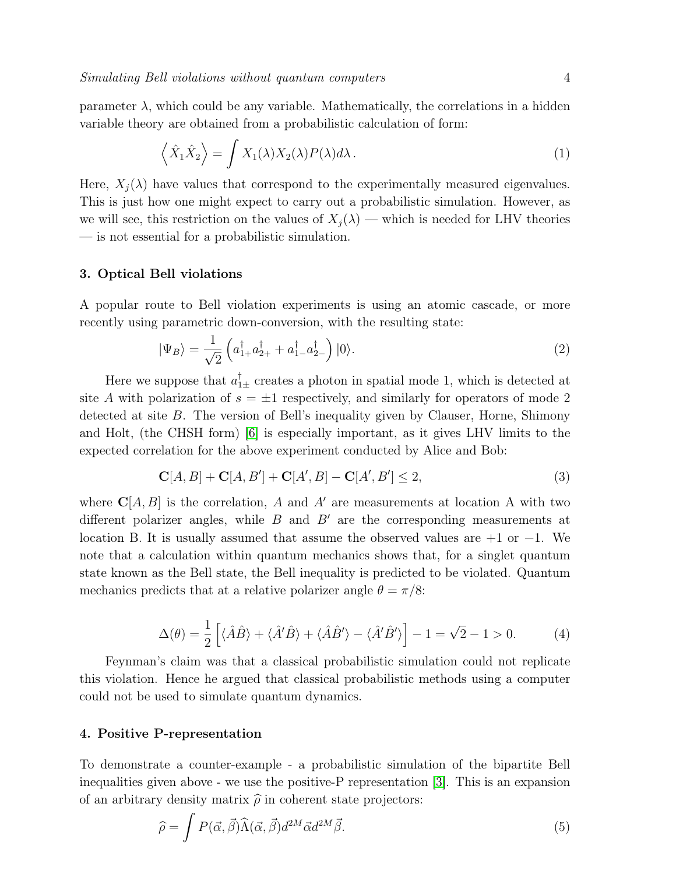parameter  $\lambda$ , which could be any variable. Mathematically, the correlations in a hidden variable theory are obtained from a probabilistic calculation of form:

<span id="page-3-1"></span>
$$
\langle \hat{X}_1 \hat{X}_2 \rangle = \int X_1(\lambda) X_2(\lambda) P(\lambda) d\lambda. \tag{1}
$$

Here,  $X_i(\lambda)$  have values that correspond to the experimentally measured eigenvalues. This is just how one might expect to carry out a probabilistic simulation. However, as we will see, this restriction on the values of  $X_i(\lambda)$  — which is needed for LHV theories — is not essential for a probabilistic simulation.

#### 3. Optical Bell violations

A popular route to Bell violation experiments is using an atomic cascade, or more recently using parametric down-conversion, with the resulting state:

<span id="page-3-0"></span>
$$
|\Psi_B\rangle = \frac{1}{\sqrt{2}} \left( a_{1+}^\dagger a_{2+}^\dagger + a_{1-}^\dagger a_{2-}^\dagger \right) |0\rangle. \tag{2}
$$

Here we suppose that  $a_{1\pm}^{\dagger}$  creates a photon in spatial mode 1, which is detected at site A with polarization of  $s = \pm 1$  respectively, and similarly for operators of mode 2 detected at site B. The version of Bell's inequality given by Clauser, Horne, Shimony and Holt, (the CHSH form) [\[6\]](#page-6-5) is especially important, as it gives LHV limits to the expected correlation for the above experiment conducted by Alice and Bob:

$$
C[A, B] + C[A, B'] + C[A', B] - C[A', B'] \le 2,
$$
\n(3)

where  $C[A, B]$  is the correlation, A and A' are measurements at location A with two different polarizer angles, while  $B$  and  $B'$  are the corresponding measurements at location B. It is usually assumed that assume the observed values are  $+1$  or  $-1$ . We note that a calculation within quantum mechanics shows that, for a singlet quantum state known as the Bell state, the Bell inequality is predicted to be violated. Quantum mechanics predicts that at a relative polarizer angle  $\theta = \pi/8$ :

$$
\Delta(\theta) = \frac{1}{2} \left[ \langle \hat{A}\hat{B} \rangle + \langle \hat{A}'\hat{B} \rangle + \langle \hat{A}\hat{B}' \rangle - \langle \hat{A}'\hat{B}' \rangle \right] - 1 = \sqrt{2} - 1 > 0. \tag{4}
$$

Feynman's claim was that a classical probabilistic simulation could not replicate this violation. Hence he argued that classical probabilistic methods using a computer could not be used to simulate quantum dynamics.

#### 4. Positive P-representation

To demonstrate a counter-example - a probabilistic simulation of the bipartite Bell inequalities given above - we use the positive-P representation [\[3\]](#page-6-2). This is an expansion of an arbitrary density matrix  $\hat{\rho}$  in coherent state projectors:

$$
\widehat{\rho} = \int P(\vec{\alpha}, \vec{\beta}) \widehat{\Lambda}(\vec{\alpha}, \vec{\beta}) d^{2M} \vec{\alpha} d^{2M} \vec{\beta}.
$$
\n(5)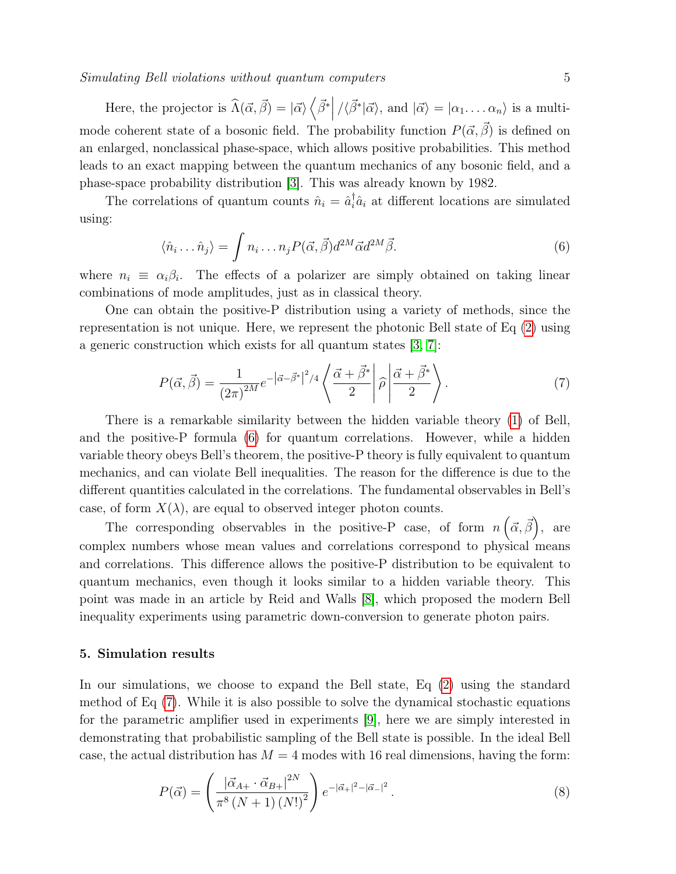Simulating Bell violations without quantum computers  $5\,$ 

Here, the projector is  $\widehat{\Lambda}(\vec{\alpha}, \vec{\beta}) = |\vec{\alpha}\rangle \langle \vec{\beta}^* | / \langle \vec{\beta}^* | \vec{\alpha} \rangle$ , and  $|\vec{\alpha}\rangle = |\alpha_1 \dots \alpha_n\rangle$  is a multimode coherent state of a bosonic field. The probability function  $P(\vec{\alpha}, \beta)$  is defined on an enlarged, nonclassical phase-space, which allows positive probabilities. This method leads to an exact mapping between the quantum mechanics of any bosonic field, and a phase-space probability distribution [\[3\]](#page-6-2). This was already known by 1982.

The correlations of quantum counts  $\hat{n}_i = \hat{a}_i^{\dagger} \hat{a}_i$  at different locations are simulated using:

<span id="page-4-0"></span>
$$
\langle \hat{n}_i \dots \hat{n}_j \rangle = \int n_i \dots n_j P(\vec{\alpha}, \vec{\beta}) d^{2M} \vec{\alpha} d^{2M} \vec{\beta}.
$$
 (6)

where  $n_i \equiv \alpha_i \beta_i$ . The effects of a polarizer are simply obtained on taking linear combinations of mode amplitudes, just as in classical theory.

One can obtain the positive-P distribution using a variety of methods, since the representation is not unique. Here, we represent the photonic Bell state of Eq [\(2\)](#page-3-0) using a generic construction which exists for all quantum states [\[3,](#page-6-2) [7\]](#page-6-6):

<span id="page-4-1"></span>
$$
P(\vec{\alpha}, \vec{\beta}) = \frac{1}{(2\pi)^{2M}} e^{-|\vec{\alpha} - \vec{\beta}^*|^2/4} \left\langle \frac{\vec{\alpha} + \vec{\beta}^*}{2} \middle| \hat{\rho} \middle| \frac{\vec{\alpha} + \vec{\beta}^*}{2} \right\rangle.
$$
 (7)

There is a remarkable similarity between the hidden variable theory [\(1\)](#page-3-1) of Bell, and the positive-P formula [\(6\)](#page-4-0) for quantum correlations. However, while a hidden variable theory obeys Bell's theorem, the positive-P theory is fully equivalent to quantum mechanics, and can violate Bell inequalities. The reason for the difference is due to the different quantities calculated in the correlations. The fundamental observables in Bell's case, of form  $X(\lambda)$ , are equal to observed integer photon counts.

The corresponding observables in the positive-P case, of form  $n(\vec{\alpha}, \vec{\beta})$ , are complex numbers whose mean values and correlations correspond to physical means and correlations. This difference allows the positive-P distribution to be equivalent to quantum mechanics, even though it looks similar to a hidden variable theory. This point was made in an article by Reid and Walls [\[8\]](#page-6-7), which proposed the modern Bell inequality experiments using parametric down-conversion to generate photon pairs.

#### 5. Simulation results

In our simulations, we choose to expand the Bell state, Eq [\(2\)](#page-3-0) using the standard method of Eq [\(7\)](#page-4-1). While it is also possible to solve the dynamical stochastic equations for the parametric amplifier used in experiments [\[9\]](#page-6-8), here we are simply interested in demonstrating that probabilistic sampling of the Bell state is possible. In the ideal Bell case, the actual distribution has  $M = 4$  modes with 16 real dimensions, having the form:

$$
P(\vec{\alpha}) = \left(\frac{|\vec{\alpha}_{A+} \cdot \vec{\alpha}_{B+}|^{2N}}{\pi^8 \left(N+1\right) \left(N!\right)^2}\right) e^{-|\vec{\alpha}_{+}|^2 - |\vec{\alpha}_{-}|^2}.
$$
\n
$$
(8)
$$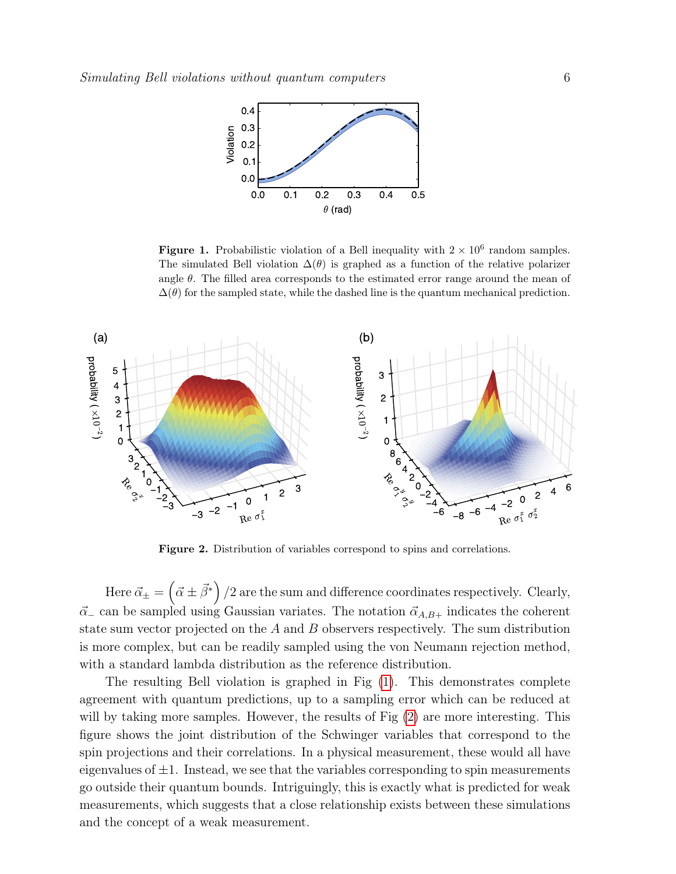

<span id="page-5-0"></span>Figure 1. Probabilistic violation of a Bell inequality with  $2 \times 10^6$  random samples. The simulated Bell violation  $\Delta(\theta)$  is graphed as a function of the relative polarizer angle  $\theta$ . The filled area corresponds to the estimated error range around the mean of  $\Delta(\theta)$  for the sampled state, while the dashed line is the quantum mechanical prediction.



<span id="page-5-1"></span>Figure 2. Distribution of variables correspond to spins and correlations.

Here  $\vec{\alpha}_{\pm} = (\vec{\alpha} \pm \vec{\beta^*})/2$  are the sum and difference coordinates respectively. Clearly,  $\vec{\alpha}_-$  can be sampled using Gaussian variates. The notation  $\vec{\alpha}_{A,B+}$  indicates the coherent state sum vector projected on the A and B observers respectively. The sum distribution is more complex, but can be readily sampled using the von Neumann rejection method, with a standard lambda distribution as the reference distribution.

The resulting Bell violation is graphed in Fig [\(1\)](#page-5-0). This demonstrates complete agreement with quantum predictions, up to a sampling error which can be reduced at will by taking more samples. However, the results of Fig  $(2)$  are more interesting. This figure shows the joint distribution of the Schwinger variables that correspond to the spin projections and their correlations. In a physical measurement, these would all have eigenvalues of  $\pm 1$ . Instead, we see that the variables corresponding to spin measurements go outside their quantum bounds. Intriguingly, this is exactly what is predicted for weak measurements, which suggests that a close relationship exists between these simulations and the concept of a weak measurement.